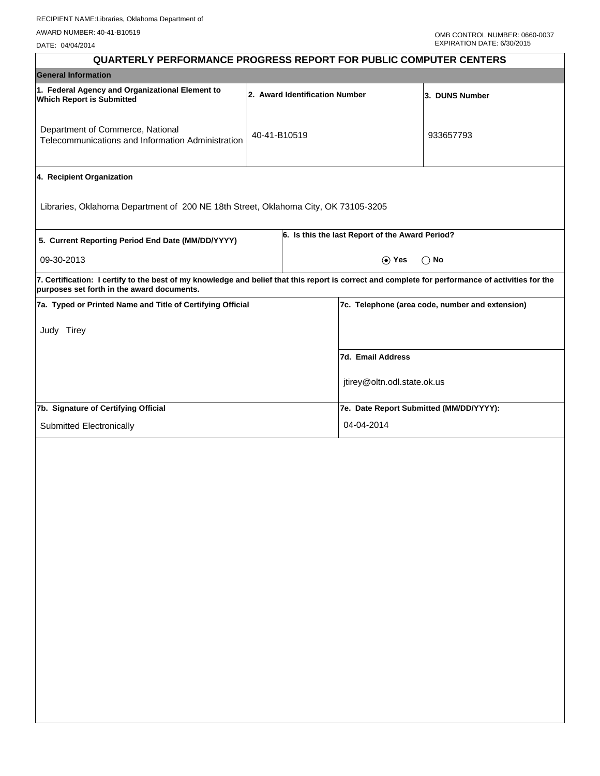DATE: 04/04/2014

| <b>QUARTERLY PERFORMANCE PROGRESS REPORT FOR PUBLIC COMPUTER CENTERS</b>                                                                                                                        |              |                                |                                                 |                |
|-------------------------------------------------------------------------------------------------------------------------------------------------------------------------------------------------|--------------|--------------------------------|-------------------------------------------------|----------------|
| <b>General Information</b>                                                                                                                                                                      |              |                                |                                                 |                |
| 1. Federal Agency and Organizational Element to<br><b>Which Report is Submitted</b>                                                                                                             |              | 2. Award Identification Number |                                                 | 3. DUNS Number |
| Department of Commerce, National<br>Telecommunications and Information Administration                                                                                                           | 40-41-B10519 |                                |                                                 | 933657793      |
| 4. Recipient Organization                                                                                                                                                                       |              |                                |                                                 |                |
| Libraries, Oklahoma Department of 200 NE 18th Street, Oklahoma City, OK 73105-3205                                                                                                              |              |                                |                                                 |                |
| 5. Current Reporting Period End Date (MM/DD/YYYY)                                                                                                                                               |              |                                | 6. Is this the last Report of the Award Period? |                |
| 09-30-2013                                                                                                                                                                                      |              |                                | $\odot$ Yes                                     | $\bigcirc$ No  |
| 7. Certification: I certify to the best of my knowledge and belief that this report is correct and complete for performance of activities for the<br>purposes set forth in the award documents. |              |                                |                                                 |                |
| 7a. Typed or Printed Name and Title of Certifying Official                                                                                                                                      |              |                                | 7c. Telephone (area code, number and extension) |                |
| Judy Tirey                                                                                                                                                                                      |              |                                |                                                 |                |
|                                                                                                                                                                                                 |              |                                | 7d. Email Address                               |                |
|                                                                                                                                                                                                 |              |                                | jtirey@oltn.odl.state.ok.us                     |                |
| 7b. Signature of Certifying Official                                                                                                                                                            |              |                                | 7e. Date Report Submitted (MM/DD/YYYY):         |                |
| Submitted Electronically                                                                                                                                                                        |              |                                | 04-04-2014                                      |                |
|                                                                                                                                                                                                 |              |                                |                                                 |                |
|                                                                                                                                                                                                 |              |                                |                                                 |                |
|                                                                                                                                                                                                 |              |                                |                                                 |                |
|                                                                                                                                                                                                 |              |                                |                                                 |                |
|                                                                                                                                                                                                 |              |                                |                                                 |                |
|                                                                                                                                                                                                 |              |                                |                                                 |                |
|                                                                                                                                                                                                 |              |                                |                                                 |                |
|                                                                                                                                                                                                 |              |                                |                                                 |                |
|                                                                                                                                                                                                 |              |                                |                                                 |                |
|                                                                                                                                                                                                 |              |                                |                                                 |                |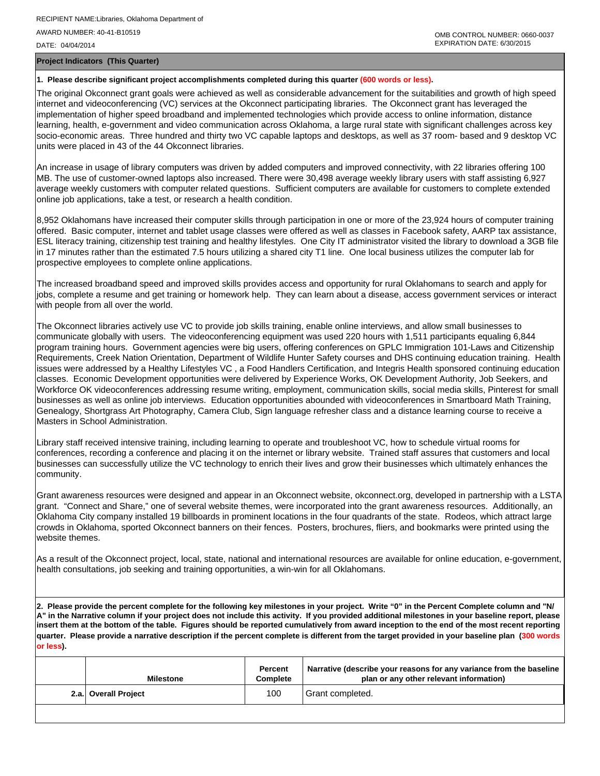OMB CONTROL NUMBER: 0660-0037 EXPIRATION DATE: 6/30/2015

**Project Indicators (This Quarter)**

## **1. Please describe significant project accomplishments completed during this quarter (600 words or less).**

The original Okconnect grant goals were achieved as well as considerable advancement for the suitabilities and growth of high speed internet and videoconferencing (VC) services at the Okconnect participating libraries. The Okconnect grant has leveraged the implementation of higher speed broadband and implemented technologies which provide access to online information, distance learning, health, e-government and video communication across Oklahoma, a large rural state with significant challenges across key socio-economic areas. Three hundred and thirty two VC capable laptops and desktops, as well as 37 room- based and 9 desktop VC units were placed in 43 of the 44 Okconnect libraries.

An increase in usage of library computers was driven by added computers and improved connectivity, with 22 libraries offering 100 MB. The use of customer-owned laptops also increased. There were 30,498 average weekly library users with staff assisting 6,927 average weekly customers with computer related questions. Sufficient computers are available for customers to complete extended online job applications, take a test, or research a health condition.

8,952 Oklahomans have increased their computer skills through participation in one or more of the 23,924 hours of computer training offered. Basic computer, internet and tablet usage classes were offered as well as classes in Facebook safety, AARP tax assistance, ESL literacy training, citizenship test training and healthy lifestyles. One City IT administrator visited the library to download a 3GB file in 17 minutes rather than the estimated 7.5 hours utilizing a shared city T1 line. One local business utilizes the computer lab for prospective employees to complete online applications.

The increased broadband speed and improved skills provides access and opportunity for rural Oklahomans to search and apply for jobs, complete a resume and get training or homework help. They can learn about a disease, access government services or interact with people from all over the world.

The Okconnect libraries actively use VC to provide job skills training, enable online interviews, and allow small businesses to communicate globally with users. The videoconferencing equipment was used 220 hours with 1,511 participants equaling 6,844 program training hours. Government agencies were big users, offering conferences on GPLC Immigration 101-Laws and Citizenship Requirements, Creek Nation Orientation, Department of Wildlife Hunter Safety courses and DHS continuing education training. Health issues were addressed by a Healthy Lifestyles VC , a Food Handlers Certification, and Integris Health sponsored continuing education classes. Economic Development opportunities were delivered by Experience Works, OK Development Authority, Job Seekers, and Workforce OK videoconferences addressing resume writing, employment, communication skills, social media skills, Pinterest for small businesses as well as online job interviews. Education opportunities abounded with videoconferences in Smartboard Math Training, Genealogy, Shortgrass Art Photography, Camera Club, Sign language refresher class and a distance learning course to receive a Masters in School Administration.

Library staff received intensive training, including learning to operate and troubleshoot VC, how to schedule virtual rooms for conferences, recording a conference and placing it on the internet or library website. Trained staff assures that customers and local businesses can successfully utilize the VC technology to enrich their lives and grow their businesses which ultimately enhances the community.

Grant awareness resources were designed and appear in an Okconnect website, okconnect.org, developed in partnership with a LSTA grant. "Connect and Share," one of several website themes, were incorporated into the grant awareness resources. Additionally, an Oklahoma City company installed 19 billboards in prominent locations in the four quadrants of the state. Rodeos, which attract large crowds in Oklahoma, sported Okconnect banners on their fences. Posters, brochures, fliers, and bookmarks were printed using the website themes.

As a result of the Okconnect project, local, state, national and international resources are available for online education, e-government, health consultations, job seeking and training opportunities, a win-win for all Oklahomans.

**2. Please provide the percent complete for the following key milestones in your project. Write "0" in the Percent Complete column and "N/ A" in the Narrative column if your project does not include this activity. If you provided additional milestones in your baseline report, please insert them at the bottom of the table. Figures should be reported cumulatively from award inception to the end of the most recent reporting quarter. Please provide a narrative description if the percent complete is different from the target provided in your baseline plan (300 words or less).**

| <b>Milestone</b>     | Percent<br><b>Complete</b> | Narrative (describe your reasons for any variance from the baseline<br>plan or any other relevant information) |
|----------------------|----------------------------|----------------------------------------------------------------------------------------------------------------|
| 2.a. Overall Project | 100                        | <sup>1</sup> Grant completed.                                                                                  |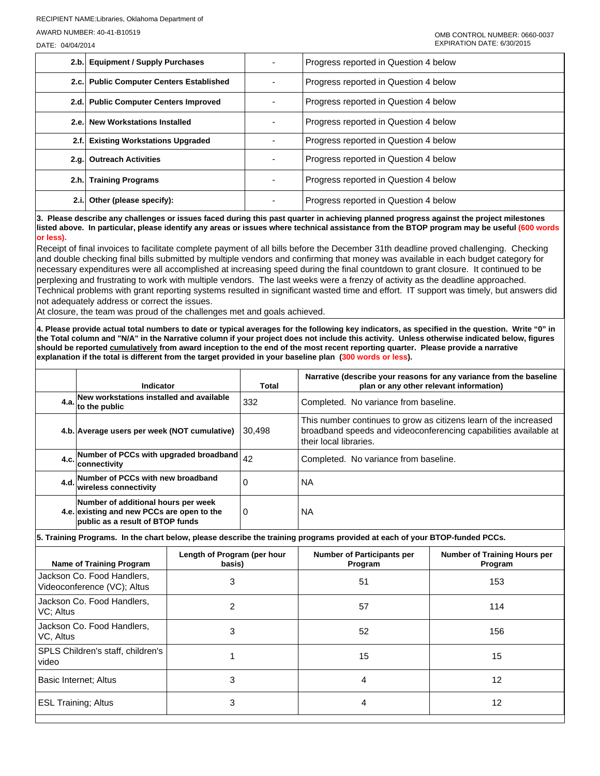DATE: 04/04/2014

|       | 2.b. Equipment / Supply Purchases        | Progress reported in Question 4 below |
|-------|------------------------------------------|---------------------------------------|
|       | 2.c. Public Computer Centers Established | Progress reported in Question 4 below |
|       | 2.d. Public Computer Centers Improved    | Progress reported in Question 4 below |
|       | 2.e. New Workstations Installed          | Progress reported in Question 4 below |
|       | 2.f. Existing Workstations Upgraded      | Progress reported in Question 4 below |
|       | 2.g. Outreach Activities                 | Progress reported in Question 4 below |
|       | 2.h. Training Programs                   | Progress reported in Question 4 below |
| 2.i.l | Other (please specify):                  | Progress reported in Question 4 below |

**3. Please describe any challenges or issues faced during this past quarter in achieving planned progress against the project milestones listed above. In particular, please identify any areas or issues where technical assistance from the BTOP program may be useful (600 words or less).**

Receipt of final invoices to facilitate complete payment of all bills before the December 31th deadline proved challenging. Checking and double checking final bills submitted by multiple vendors and confirming that money was available in each budget category for necessary expenditures were all accomplished at increasing speed during the final countdown to grant closure. It continued to be perplexing and frustrating to work with multiple vendors. The last weeks were a frenzy of activity as the deadline approached. Technical problems with grant reporting systems resulted in significant wasted time and effort. IT support was timely, but answers did not adequately address or correct the issues.

At closure, the team was proud of the challenges met and goals achieved.

**4. Please provide actual total numbers to date or typical averages for the following key indicators, as specified in the question. Write "0" in the Total column and "N/A" in the Narrative column if your project does not include this activity. Unless otherwise indicated below, figures should be reported cumulatively from award inception to the end of the most recent reporting quarter. Please provide a narrative explanation if the total is different from the target provided in your baseline plan (300 words or less).** 

| Indicator                                                                                                             | Total  | Narrative (describe your reasons for any variance from the baseline<br>plan or any other relevant information)                                                 |
|-----------------------------------------------------------------------------------------------------------------------|--------|----------------------------------------------------------------------------------------------------------------------------------------------------------------|
| New workstations installed and available<br>$4.a.$ to the public                                                      | 332    | Completed. No variance from baseline.                                                                                                                          |
| 4.b. Average users per week (NOT cumulative)                                                                          | 30.498 | This number continues to grow as citizens learn of the increased<br>broadband speeds and videoconferencing capabilities available at<br>their local libraries. |
| 4.c. Number of PCCs with upgraded broadband<br>connectivity                                                           | 42     | Completed. No variance from baseline.                                                                                                                          |
| 4.d. Number of PCCs with new broadband<br>wireless connectivity                                                       | 0      | NA                                                                                                                                                             |
| Number of additional hours per week<br>4.e. existing and new PCCs are open to the<br>public as a result of BTOP funds | 0      | NA                                                                                                                                                             |

**5. Training Programs. In the chart below, please describe the training programs provided at each of your BTOP-funded PCCs.**

| Name of Training Program                                  | Length of Program (per hour<br>basis) | <b>Number of Participants per</b><br>Program | <b>Number of Training Hours per</b><br>Program |
|-----------------------------------------------------------|---------------------------------------|----------------------------------------------|------------------------------------------------|
| Jackson Co. Food Handlers,<br>Videoconference (VC); Altus | 3                                     | 51                                           | 153                                            |
| Jackson Co. Food Handlers.<br>VC: Altus                   | າ                                     | 57                                           | 114                                            |
| Jackson Co. Food Handlers,<br>VC, Altus                   | 3                                     | 52                                           | 156                                            |
| SPLS Children's staff, children's<br>video                |                                       | 15                                           | 15                                             |
| Basic Internet: Altus                                     | 3                                     | 4                                            | 12                                             |
| <b>ESL Training; Altus</b>                                | 3                                     | 4                                            | 12                                             |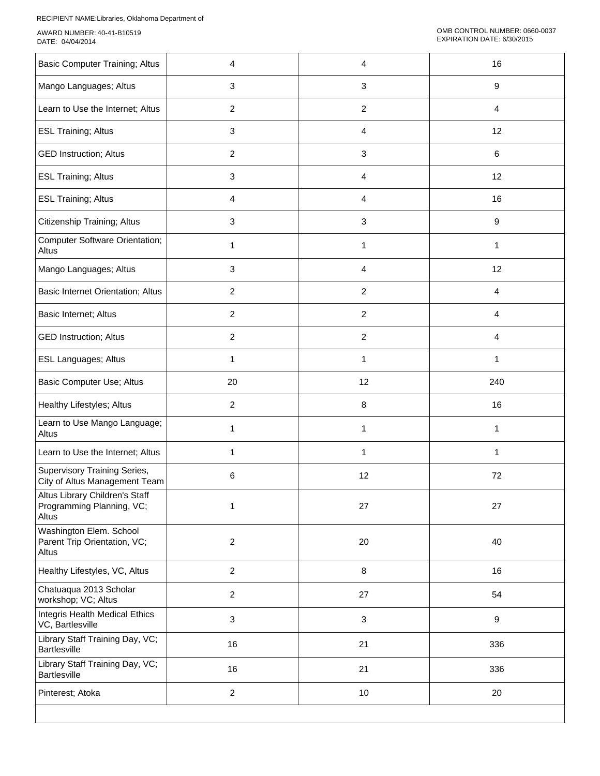| <b>Basic Computer Training; Altus</b>                                | 4              | 4                         | 16               |
|----------------------------------------------------------------------|----------------|---------------------------|------------------|
| Mango Languages; Altus                                               | 3              | $\ensuremath{\mathsf{3}}$ | 9                |
| Learn to Use the Internet; Altus                                     | $\overline{2}$ | $\overline{c}$            | $\overline{4}$   |
| <b>ESL Training; Altus</b>                                           | 3              | 4                         | 12               |
| <b>GED Instruction; Altus</b>                                        | $\overline{a}$ | 3                         | 6                |
| <b>ESL Training; Altus</b>                                           | 3              | 4                         | 12               |
| <b>ESL Training; Altus</b>                                           | 4              | 4                         | 16               |
| Citizenship Training; Altus                                          | 3              | 3                         | $\boldsymbol{9}$ |
| <b>Computer Software Orientation;</b><br>Altus                       | 1              | 1                         | 1                |
| Mango Languages; Altus                                               | 3              | 4                         | 12               |
| Basic Internet Orientation; Altus                                    | $\overline{c}$ | $\overline{c}$            | 4                |
| Basic Internet; Altus                                                | $\overline{c}$ | $\overline{c}$            | 4                |
| <b>GED Instruction; Altus</b>                                        | $\overline{c}$ | $\overline{c}$            | $\overline{4}$   |
| <b>ESL Languages; Altus</b>                                          | 1              | 1                         | 1                |
| Basic Computer Use; Altus                                            | 20             | 12                        | 240              |
| Healthy Lifestyles; Altus                                            | $\overline{c}$ | 8                         | 16               |
| Learn to Use Mango Language;<br>Altus                                | 1              | 1                         | 1                |
| Learn to Use the Internet; Altus                                     | 1              | $\mathbf 1$               | 1                |
| Supervisory Training Series,<br>City of Altus Management Team        | 6              | 12                        | 72               |
| Altus Library Children's Staff<br>Programming Planning, VC;<br>Altus | 1              | 27                        | 27               |
| Washington Elem. School<br>Parent Trip Orientation, VC;<br>Altus     | $\overline{a}$ | 20                        | 40               |
| Healthy Lifestyles, VC, Altus                                        | $\overline{a}$ | $\, 8$                    | 16               |
| Chatuaqua 2013 Scholar<br>workshop; VC; Altus                        | $\overline{a}$ | 27                        | 54               |
| Integris Health Medical Ethics<br>VC, Bartlesville                   | 3              | $\ensuremath{\mathsf{3}}$ | $\boldsymbol{9}$ |
| Library Staff Training Day, VC;<br>Bartlesville                      | 16             | 21                        | 336              |
| Library Staff Training Day, VC;<br><b>Bartlesville</b>               | 16             | 21                        | 336              |
| Pinterest; Atoka                                                     | $\overline{c}$ | $10$                      | 20               |
|                                                                      |                |                           |                  |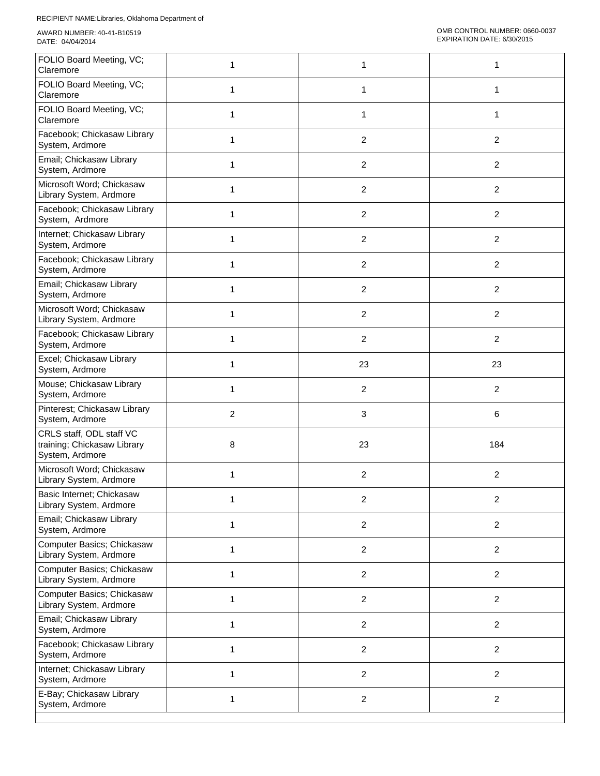I

| FOLIO Board Meeting, VC;<br>Claremore                                      | 1              | 1              | 1              |
|----------------------------------------------------------------------------|----------------|----------------|----------------|
| FOLIO Board Meeting, VC;<br>Claremore                                      | 1              | 1              | 1              |
| FOLIO Board Meeting, VC;<br>Claremore                                      | $\mathbf{1}$   | 1              | 1              |
| Facebook; Chickasaw Library<br>System, Ardmore                             | $\mathbf{1}$   | $\overline{2}$ | $\overline{2}$ |
| Email; Chickasaw Library<br>System, Ardmore                                | $\mathbf{1}$   | $\overline{2}$ | $\overline{c}$ |
| Microsoft Word; Chickasaw<br>Library System, Ardmore                       | 1              | $\sqrt{2}$     | $\overline{2}$ |
| Facebook; Chickasaw Library<br>System, Ardmore                             | $\mathbf{1}$   | $\overline{2}$ | $\overline{2}$ |
| Internet; Chickasaw Library<br>System, Ardmore                             | 1              | $\overline{2}$ | $\overline{2}$ |
| Facebook; Chickasaw Library<br>System, Ardmore                             | $\mathbf{1}$   | $\sqrt{2}$     | $\overline{c}$ |
| Email; Chickasaw Library<br>System, Ardmore                                | 1              | $\sqrt{2}$     | $\overline{2}$ |
| Microsoft Word; Chickasaw<br>Library System, Ardmore                       | 1              | $\overline{2}$ | $\overline{2}$ |
| Facebook; Chickasaw Library<br>System, Ardmore                             | 1              | $\overline{2}$ | $\overline{2}$ |
| Excel; Chickasaw Library<br>System, Ardmore                                | 1              | 23             | 23             |
| Mouse; Chickasaw Library<br>System, Ardmore                                | 1              | $\sqrt{2}$     | $\overline{c}$ |
| Pinterest; Chickasaw Library<br>System, Ardmore                            | $\overline{2}$ | $\mathbf{3}$   | 6              |
| CRLS staff, ODL staff VC<br>training; Chickasaw Library<br>System, Ardmore | 8              | 23             | 184            |
| Microsoft Word; Chickasaw<br>Library System, Ardmore                       | 1              | $\overline{2}$ | $\overline{c}$ |
| Basic Internet; Chickasaw<br>Library System, Ardmore                       | 1              | $\sqrt{2}$     | $\overline{c}$ |
| Email; Chickasaw Library<br>System, Ardmore                                | 1              | $\sqrt{2}$     | $\overline{2}$ |
| Computer Basics; Chickasaw<br>Library System, Ardmore                      | $\mathbf{1}$   | $\sqrt{2}$     | $\overline{2}$ |
| Computer Basics; Chickasaw<br>Library System, Ardmore                      | 1              | $\overline{2}$ | $\overline{2}$ |
| Computer Basics; Chickasaw<br>Library System, Ardmore                      | $\mathbf{1}$   | $\overline{2}$ | $\overline{a}$ |
| Email; Chickasaw Library<br>System, Ardmore                                | 1              | $\overline{2}$ | $\overline{a}$ |
| Facebook; Chickasaw Library<br>System, Ardmore                             | $\mathbf{1}$   | $\overline{2}$ | $\overline{2}$ |
| Internet; Chickasaw Library<br>System, Ardmore                             | $\mathbf{1}$   | 2              | $\overline{2}$ |
| E-Bay; Chickasaw Library<br>System, Ardmore                                | $\mathbf{1}$   | $\sqrt{2}$     | $\overline{2}$ |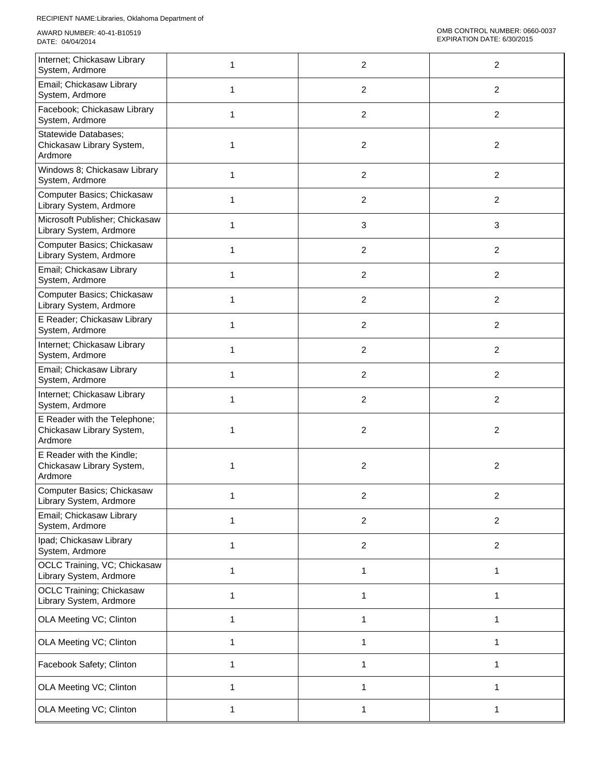| Internet; Chickasaw Library<br>System, Ardmore                       |              | $\overline{\mathbf{c}}$ | $\overline{c}$ |
|----------------------------------------------------------------------|--------------|-------------------------|----------------|
| Email; Chickasaw Library<br>System, Ardmore                          | 1            | 2                       | $\overline{2}$ |
| Facebook; Chickasaw Library<br>System, Ardmore                       | 1            | $\overline{c}$          | $\overline{c}$ |
| Statewide Databases;<br>Chickasaw Library System,<br>Ardmore         | 1            | $\overline{\mathbf{c}}$ | $\overline{c}$ |
| Windows 8; Chickasaw Library<br>System, Ardmore                      | 1            | $\overline{\mathbf{c}}$ | $\overline{c}$ |
| Computer Basics; Chickasaw<br>Library System, Ardmore                |              | $\overline{c}$          | $\overline{2}$ |
| Microsoft Publisher; Chickasaw<br>Library System, Ardmore            | 1            | 3                       | $\mathbf{3}$   |
| Computer Basics; Chickasaw<br>Library System, Ardmore                | 1            | 2                       | $\overline{2}$ |
| Email; Chickasaw Library<br>System, Ardmore                          | 1            | $\overline{\mathbf{c}}$ | $\overline{c}$ |
| Computer Basics; Chickasaw<br>Library System, Ardmore                | 1            | 2                       | $\overline{2}$ |
| E Reader; Chickasaw Library<br>System, Ardmore                       | 1            | $\overline{c}$          | $\overline{c}$ |
| Internet; Chickasaw Library<br>System, Ardmore                       | 1            | $\overline{c}$          | $\overline{c}$ |
| Email; Chickasaw Library<br>System, Ardmore                          | 1            | $\overline{c}$          | $\overline{c}$ |
| Internet; Chickasaw Library<br>System, Ardmore                       |              | $\overline{\mathbf{c}}$ | $\overline{c}$ |
| E Reader with the Telephone;<br>Chickasaw Library System,<br>Ardmore |              | $\overline{c}$          | $\overline{c}$ |
| E Reader with the Kindle;<br>Chickasaw Library System,<br>Ardmore    | 1            | $\overline{c}$          | $\overline{c}$ |
| Computer Basics; Chickasaw<br>Library System, Ardmore                | 1            | 2                       | $\overline{2}$ |
| Email; Chickasaw Library<br>System, Ardmore                          | 1            | $\overline{c}$          | $\overline{c}$ |
| Ipad; Chickasaw Library<br>System, Ardmore                           | $\mathbf{1}$ | $\overline{c}$          | $\overline{2}$ |
| OCLC Training, VC; Chickasaw<br>Library System, Ardmore              |              | 1                       | 1              |
| <b>OCLC Training; Chickasaw</b><br>Library System, Ardmore           | 1            | 1                       | 1              |
| OLA Meeting VC; Clinton                                              | $\mathbf{1}$ | $\mathbf{1}$            | 1              |
| OLA Meeting VC; Clinton                                              | 1            | 1                       | 1              |
| Facebook Safety; Clinton                                             | 1            | 1                       | 1              |
| OLA Meeting VC; Clinton                                              | 1            | 1                       | 1              |
| OLA Meeting VC; Clinton                                              | 1            | 1                       | 1              |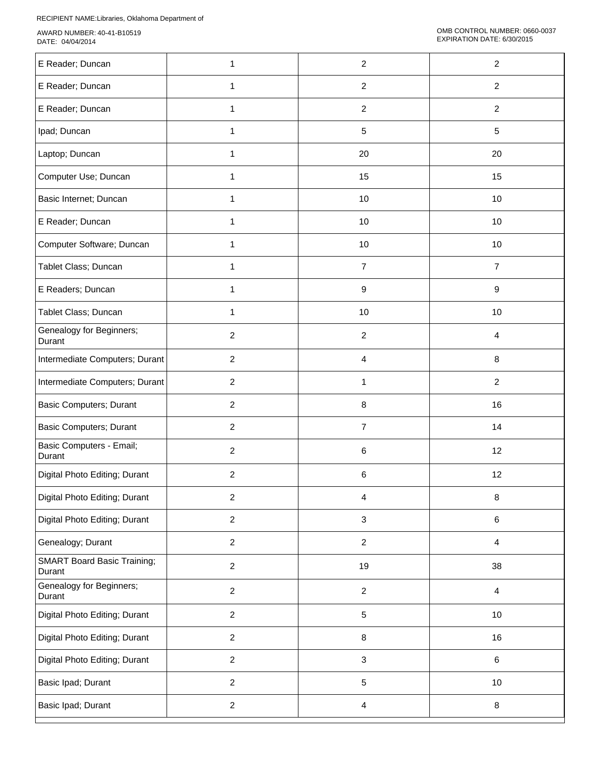RECIPIENT NAME:Libraries, Oklahoma Department of

| E Reader; Duncan                             | 1              | $\overline{2}$          | $\overline{c}$ |
|----------------------------------------------|----------------|-------------------------|----------------|
| E Reader; Duncan                             | $\mathbf{1}$   | 2                       | $\overline{2}$ |
| E Reader; Duncan                             | 1              | $\overline{\mathbf{c}}$ | $\overline{c}$ |
| Ipad; Duncan                                 | $\mathbf{1}$   | $\sqrt{5}$              | 5              |
| Laptop; Duncan                               | 1              | 20                      | 20             |
| Computer Use; Duncan                         | 1              | 15                      | 15             |
| Basic Internet; Duncan                       | 1              | 10                      | 10             |
| E Reader; Duncan                             |                | 10                      | 10             |
| Computer Software; Duncan                    | 1              | 10                      | 10             |
| Tablet Class; Duncan                         | 1              | $\overline{7}$          | $\overline{7}$ |
| E Readers; Duncan                            | 1              | $\boldsymbol{9}$        | 9              |
| Tablet Class; Duncan                         | $\mathbf{1}$   | 10                      | 10             |
| Genealogy for Beginners;<br>Durant           | $\overline{2}$ | 2                       | 4              |
| Intermediate Computers; Durant               | $\overline{2}$ | 4                       | 8              |
| Intermediate Computers; Durant               | $\overline{2}$ | 1                       | $\overline{2}$ |
| <b>Basic Computers; Durant</b>               | $\overline{2}$ | $\,8\,$                 | 16             |
| <b>Basic Computers; Durant</b>               | $\overline{2}$ | $\overline{7}$          | 14             |
| Basic Computers - Email;<br>Durant           | $\overline{c}$ | 6                       | 12             |
| Digital Photo Editing; Durant                | $\overline{2}$ | 6                       | 12             |
| Digital Photo Editing; Durant                | $\overline{2}$ | 4                       | 8              |
| Digital Photo Editing; Durant                | $\overline{2}$ | 3                       | 6              |
| Genealogy; Durant                            | $\overline{2}$ | $\overline{2}$          | $\overline{4}$ |
| <b>SMART Board Basic Training;</b><br>Durant | $\overline{c}$ | 19                      | 38             |
| Genealogy for Beginners;<br>Durant           | $\overline{2}$ | $\sqrt{2}$              | $\overline{4}$ |
| Digital Photo Editing; Durant                | $\overline{c}$ | 5                       | 10             |
| Digital Photo Editing; Durant                | $\overline{2}$ | $\, 8$                  | 16             |
| Digital Photo Editing; Durant                | $\overline{2}$ | 3                       | 6              |
| Basic Ipad; Durant                           | $\overline{c}$ | $\sqrt{5}$              | 10             |
| Basic Ipad; Durant                           | $\overline{2}$ | $\overline{4}$          | 8              |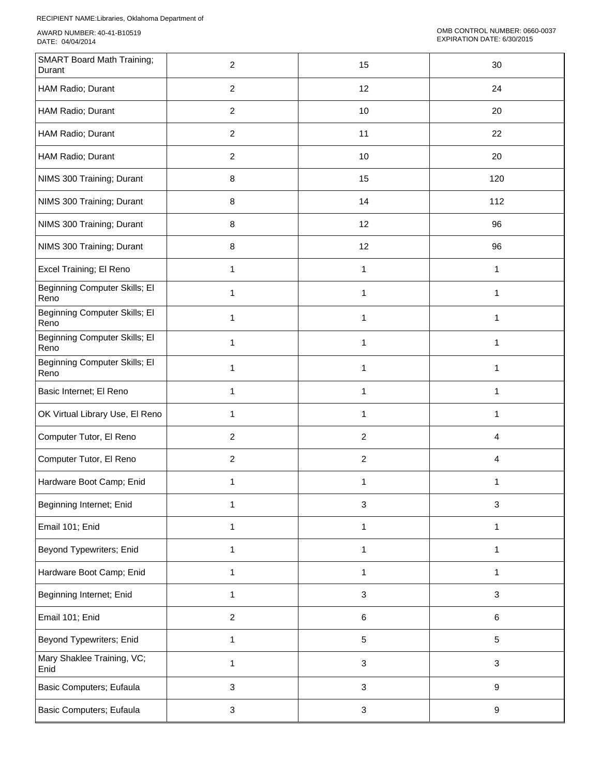| <b>SMART Board Math Training;</b><br>Durant | $\overline{c}$   | 15           | 30               |
|---------------------------------------------|------------------|--------------|------------------|
| HAM Radio; Durant                           | $\overline{c}$   | 12           | 24               |
| HAM Radio; Durant                           | $\overline{c}$   | 10           | 20               |
| HAM Radio; Durant                           | $\overline{2}$   | 11           | 22               |
| HAM Radio; Durant                           | $\boldsymbol{2}$ | 10           | 20               |
| NIMS 300 Training; Durant                   | $\bf 8$          | 15           | 120              |
| NIMS 300 Training; Durant                   | $\bf 8$          | 14           | 112              |
| NIMS 300 Training; Durant                   | 8                | 12           | 96               |
| NIMS 300 Training; Durant                   | $\bf 8$          | 12           | 96               |
| Excel Training; El Reno                     | $\mathbf{1}$     | $\mathbf{1}$ | $\mathbf{1}$     |
| Beginning Computer Skills; El<br>Reno       | 1                | $\mathbf{1}$ | $\mathbf{1}$     |
| Beginning Computer Skills; El<br>Reno       | 1                | $\mathbf{1}$ | 1                |
| Beginning Computer Skills; El<br>Reno       | 1                | 1            | 1                |
| Beginning Computer Skills; El<br>Reno       | 1                | $\mathbf{1}$ | $\mathbf{1}$     |
| Basic Internet; El Reno                     | $\mathbf{1}$     | $\mathbf{1}$ | $\mathbf{1}$     |
| OK Virtual Library Use, El Reno             | 1                | 1            | 1                |
| Computer Tutor, El Reno                     | $\overline{2}$   | $\sqrt{2}$   | 4                |
| Computer Tutor, El Reno                     | $\boldsymbol{2}$ | $\sqrt{2}$   | 4                |
| Hardware Boot Camp; Enid                    | 1                | 1            | 1                |
| Beginning Internet; Enid                    | 1                | $\sqrt{3}$   | $\mathbf{3}$     |
| Email 101; Enid                             | 1                | $\mathbf{1}$ | 1                |
| Beyond Typewriters; Enid                    | 1                | 1            | 1                |
| Hardware Boot Camp; Enid                    | 1                | 1            | 1                |
| Beginning Internet; Enid                    | 1                | $\sqrt{3}$   | $\sqrt{3}$       |
| Email 101; Enid                             | $\overline{c}$   | $\,6\,$      | $\,6\,$          |
| Beyond Typewriters; Enid                    | $\mathbf{1}$     | $\sqrt{5}$   | $\sqrt{5}$       |
| Mary Shaklee Training, VC;<br>Enid          | 1                | $\mathbf{3}$ | $\sqrt{3}$       |
| Basic Computers; Eufaula                    | $\mathbf{3}$     | $\mathbf{3}$ | $\boldsymbol{9}$ |
| Basic Computers; Eufaula                    | $\mathbf{3}$     | $\sqrt{3}$   | $\boldsymbol{9}$ |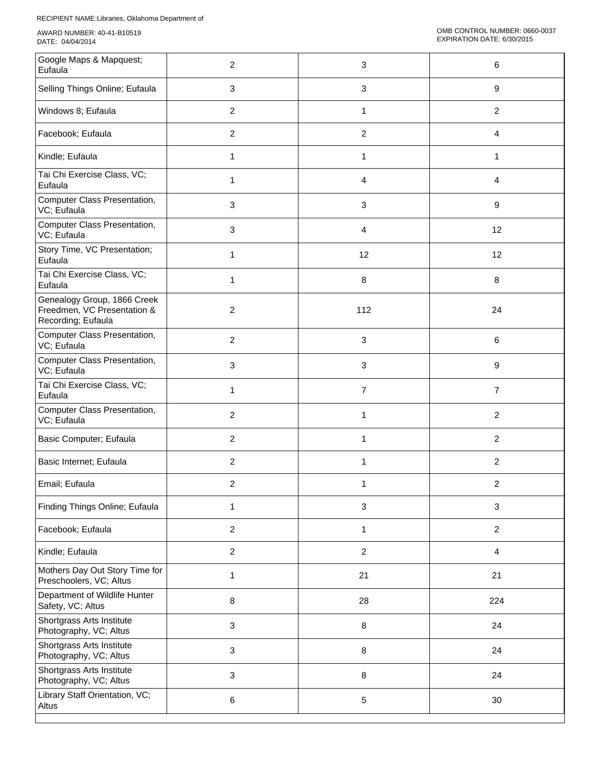| Google Maps & Mapquest;<br>Eufaula                                               | 2              | 3                         | 6              |
|----------------------------------------------------------------------------------|----------------|---------------------------|----------------|
| Selling Things Online; Eufaula                                                   | 3              | $\ensuremath{\mathsf{3}}$ | 9              |
| Windows 8; Eufaula                                                               | $\overline{2}$ | $\mathbf{1}$              | $\overline{2}$ |
| Facebook; Eufaula                                                                | $\overline{2}$ | $\overline{c}$            | 4              |
| Kindle; Eufaula                                                                  | $\mathbf{1}$   | 1                         | $\mathbf{1}$   |
| Tai Chi Exercise Class, VC;<br>Eufaula                                           | 1              | 4                         | 4              |
| Computer Class Presentation,<br>VC; Eufaula                                      | 3              | 3                         | 9              |
| Computer Class Presentation,<br>VC; Eufaula                                      | 3              | 4                         | 12             |
| Story Time, VC Presentation;<br>Eufaula                                          | 1              | 12                        | 12             |
| Tai Chi Exercise Class, VC;<br>Eufaula                                           | 1              | 8                         | 8              |
| Genealogy Group, 1866 Creek<br>Freedmen, VC Presentation &<br>Recording; Eufaula | $\overline{2}$ | 112                       | 24             |
| Computer Class Presentation,<br>VC; Eufaula                                      | $\overline{2}$ | 3                         | 6              |
| Computer Class Presentation,<br>VC; Eufaula                                      | 3              | 3                         | 9              |
| Tai Chi Exercise Class, VC;<br>Eufaula                                           | $\mathbf{1}$   | $\overline{7}$            | $\overline{7}$ |
| Computer Class Presentation,<br>VC; Eufaula                                      | $\overline{2}$ | 1                         | $\overline{2}$ |
| Basic Computer; Eufaula                                                          | $\overline{2}$ | 1                         | $\overline{2}$ |
| Basic Internet; Eufaula                                                          | $\overline{c}$ | 1                         | $\overline{2}$ |
| Email; Eufaula                                                                   | 2              | 1                         | 2              |
| Finding Things Online; Eufaula                                                   | 1              | $\mathbf{3}$              | 3              |
| Facebook; Eufaula                                                                | $\overline{c}$ | 1                         | $\overline{a}$ |
| Kindle; Eufaula                                                                  | $\overline{c}$ | $\boldsymbol{2}$          | $\overline{4}$ |
| Mothers Day Out Story Time for<br>Preschoolers, VC; Altus                        | $\mathbf{1}$   | 21                        | 21             |
| Department of Wildlife Hunter<br>Safety, VC; Altus                               | $\bf 8$        | 28                        | 224            |
| Shortgrass Arts Institute<br>Photography, VC; Altus                              | 3              | 8                         | 24             |
| Shortgrass Arts Institute<br>Photography, VC; Altus                              | 3              | 8                         | 24             |
| Shortgrass Arts Institute<br>Photography, VC; Altus                              | 3              | 8                         | 24             |
| Library Staff Orientation, VC;<br>Altus                                          | 6              | 5                         | 30             |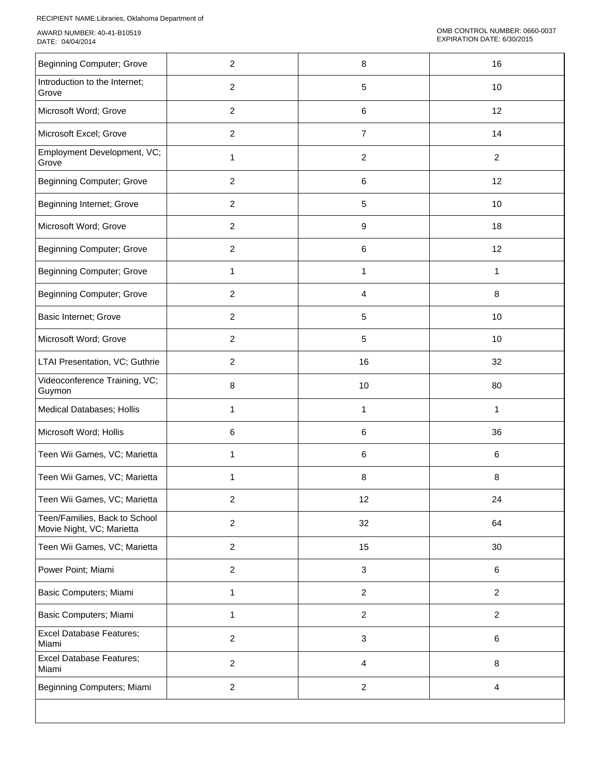| <b>Beginning Computer; Grove</b>                           | $\overline{c}$ | 8                       | 16                      |
|------------------------------------------------------------|----------------|-------------------------|-------------------------|
| Introduction to the Internet;<br>Grove                     | $\overline{c}$ | 5                       | 10                      |
| Microsoft Word; Grove                                      | $\overline{c}$ | 6                       | 12                      |
| Microsoft Excel; Grove                                     | $\overline{c}$ | $\overline{7}$          | 14                      |
| Employment Development, VC;<br>Grove                       | 1              | $\overline{c}$          | $\overline{2}$          |
| <b>Beginning Computer; Grove</b>                           | $\overline{2}$ | 6                       | 12                      |
| Beginning Internet; Grove                                  | $\overline{c}$ | $\sqrt{5}$              | 10                      |
| Microsoft Word; Grove                                      | $\overline{c}$ | $\boldsymbol{9}$        | 18                      |
| <b>Beginning Computer; Grove</b>                           | $\overline{c}$ | 6                       | 12                      |
| <b>Beginning Computer; Grove</b>                           | 1              | 1                       | 1                       |
| <b>Beginning Computer; Grove</b>                           | $\overline{c}$ | 4                       | 8                       |
| Basic Internet; Grove                                      | $\overline{c}$ | 5                       | 10                      |
| Microsoft Word; Grove                                      | $\overline{c}$ | 5                       | 10                      |
| LTAI Presentation, VC; Guthrie                             | $\overline{c}$ | 16                      | 32                      |
| Videoconference Training, VC;<br>Guymon                    | 8              | 10                      | 80                      |
| Medical Databases; Hollis                                  | 1              | 1                       | $\mathbf{1}$            |
| Microsoft Word; Hollis                                     | 6              | 6                       | 36                      |
| Teen Wii Games, VC; Marietta                               | 1              | 6                       | 6                       |
| Teen Wii Games, VC; Marietta                               | 1              | $\,8\,$                 | 8                       |
| Teen Wii Games, VC; Marietta                               | $\overline{c}$ | 12                      | 24                      |
| Teen/Families, Back to School<br>Movie Night, VC; Marietta | $\overline{2}$ | 32                      | 64                      |
| Teen Wii Games, VC; Marietta                               | $\overline{c}$ | 15                      | 30                      |
| Power Point; Miami                                         | $\overline{c}$ | $\sqrt{3}$              | 6                       |
| Basic Computers; Miami                                     | $\mathbf{1}$   | $\overline{2}$          | $\overline{2}$          |
| Basic Computers; Miami                                     | $\mathbf{1}$   | $\overline{c}$          | $\overline{2}$          |
| <b>Excel Database Features;</b><br>Miami                   | $\overline{c}$ | 3                       | $\,6$                   |
| <b>Excel Database Features;</b><br>Miami                   | $\overline{c}$ | 4                       | $\bf 8$                 |
| Beginning Computers; Miami                                 | $\overline{c}$ | $\overline{\mathbf{c}}$ | $\overline{\mathbf{4}}$ |
|                                                            |                |                         |                         |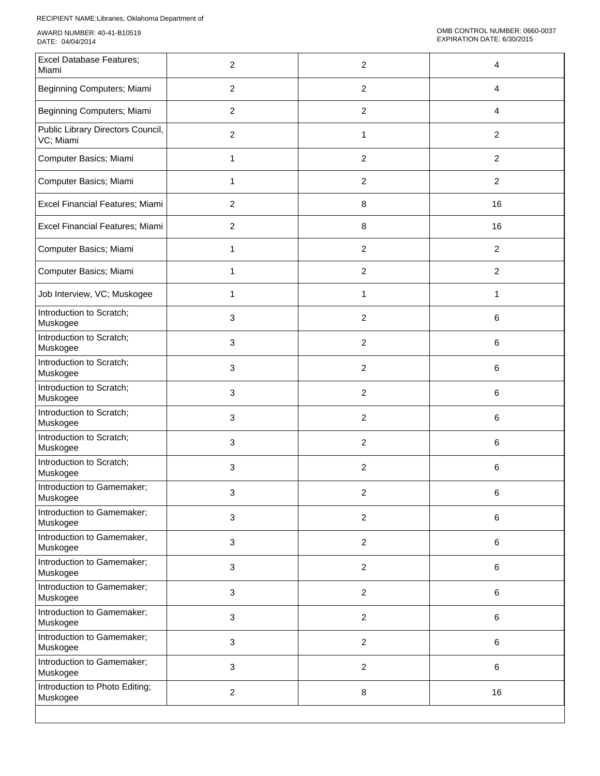| <b>Excel Database Features;</b><br>Miami       | 2              | 2                | 4              |
|------------------------------------------------|----------------|------------------|----------------|
| Beginning Computers; Miami                     | $\overline{2}$ | $\overline{2}$   | 4              |
| Beginning Computers; Miami                     | $\overline{2}$ | $\overline{c}$   | 4              |
| Public Library Directors Council,<br>VC; Miami | $\overline{2}$ | 1                | $\overline{2}$ |
| Computer Basics; Miami                         | 1              | $\overline{c}$   | $\overline{2}$ |
| Computer Basics; Miami                         | 1              | $\overline{c}$   | $\overline{2}$ |
| Excel Financial Features; Miami                | $\overline{2}$ | 8                | 16             |
| Excel Financial Features; Miami                | $\overline{2}$ | 8                | 16             |
| Computer Basics; Miami                         | 1              | $\boldsymbol{2}$ | $\overline{2}$ |
| Computer Basics; Miami                         | 1              | 2                | $\overline{2}$ |
| Job Interview, VC; Muskogee                    | 1              | 1                | 1              |
| Introduction to Scratch;<br>Muskogee           | 3              | $\overline{c}$   | 6              |
| Introduction to Scratch;<br>Muskogee           | 3              | $\overline{c}$   | 6              |
| Introduction to Scratch;<br>Muskogee           | 3              | $\overline{c}$   | 6              |
| Introduction to Scratch;<br>Muskogee           | 3              | $\boldsymbol{2}$ | 6              |
| Introduction to Scratch;<br>Muskogee           | 3              | $\overline{c}$   | 6              |
| Introduction to Scratch;<br>Muskogee           | 3              | 2                | 6              |
| Introduction to Scratch;<br>Muskogee           | 3              | 2                | 6              |
| Introduction to Gamemaker;<br>Muskogee         | З              | 2                | 6              |
| Introduction to Gamemaker;<br>Muskogee         | 3              | $\overline{2}$   | 6              |
| Introduction to Gamemaker,<br>Muskogee         | 3              | $\overline{c}$   | 6              |
| Introduction to Gamemaker;<br>Muskogee         | 3              | $\overline{c}$   | 6              |
| Introduction to Gamemaker;<br>Muskogee         | 3              | $\overline{c}$   | 6              |
| Introduction to Gamemaker;<br>Muskogee         | 3              | $\overline{c}$   | 6              |
| Introduction to Gamemaker;<br>Muskogee         | 3              | $\boldsymbol{2}$ | 6              |
| Introduction to Gamemaker;<br>Muskogee         | 3              | $\overline{c}$   | 6              |
| Introduction to Photo Editing;<br>Muskogee     | $\overline{2}$ | 8                | 16             |
|                                                |                |                  |                |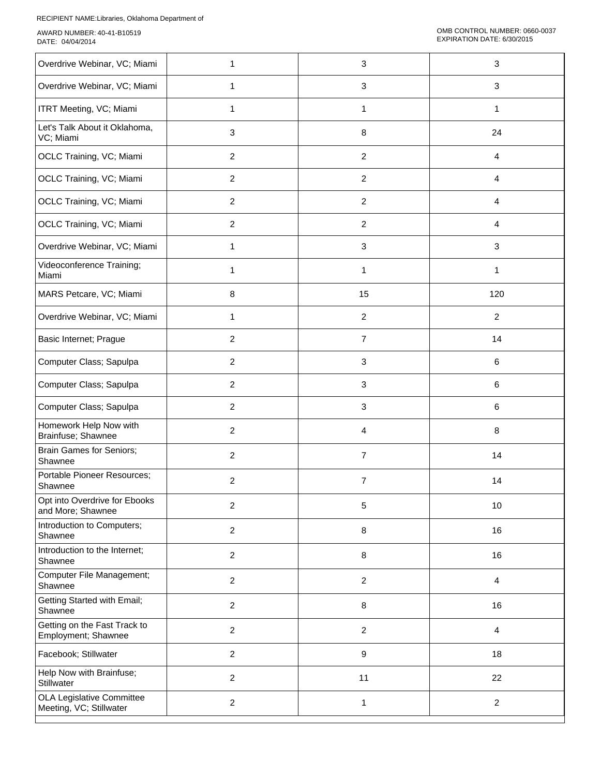| Overdrive Webinar, VC; Miami                         | 1              | $\mathbf{3}$              | $\sqrt{3}$     |
|------------------------------------------------------|----------------|---------------------------|----------------|
| Overdrive Webinar, VC; Miami                         | 1              | $\ensuremath{\mathsf{3}}$ | $\sqrt{3}$     |
| <b>ITRT Meeting, VC; Miami</b>                       | 1              | 1                         | 1              |
| Let's Talk About it Oklahoma,<br>VC; Miami           | 3              | 8                         | 24             |
| OCLC Training, VC; Miami                             | $\overline{2}$ | $\overline{c}$            | $\overline{4}$ |
| OCLC Training, VC; Miami                             | $\overline{2}$ | $\boldsymbol{2}$          | 4              |
| OCLC Training, VC; Miami                             | $\overline{2}$ | $\overline{c}$            | 4              |
| OCLC Training, VC; Miami                             | $\overline{2}$ | $\overline{c}$            | 4              |
| Overdrive Webinar, VC; Miami                         | 1              | 3                         | 3              |
| Videoconference Training;<br>Miami                   | 1              | 1                         | 1              |
| MARS Petcare, VC; Miami                              | 8              | 15                        | 120            |
| Overdrive Webinar, VC; Miami                         | 1              | $\overline{c}$            | $\overline{c}$ |
| Basic Internet; Prague                               | $\overline{c}$ | $\overline{7}$            | 14             |
| Computer Class; Sapulpa                              | $\overline{c}$ | 3                         | $\,6\,$        |
| Computer Class; Sapulpa                              | $\overline{2}$ | 3                         | 6              |
| Computer Class; Sapulpa                              | $\overline{2}$ | $\mathbf{3}$              | 6              |
| Homework Help Now with<br>Brainfuse; Shawnee         | $\overline{2}$ | 4                         | $\,8\,$        |
| <b>Brain Games for Seniors;</b><br>Shawnee           | $\overline{2}$ | $\overline{7}$            | 14             |
| Portable Pioneer Resources;<br>Shawnee               | $\overline{c}$ | $\overline{7}$            | 14             |
| Opt into Overdrive for Ebooks<br>and More; Shawnee   | $\overline{c}$ | 5                         | 10             |
| Introduction to Computers;<br>Shawnee                | $\overline{2}$ | $\bf 8$                   | 16             |
| Introduction to the Internet;<br>Shawnee             | $\overline{2}$ | 8                         | 16             |
| Computer File Management;<br>Shawnee                 | $\overline{2}$ | $\overline{c}$            | 4              |
| Getting Started with Email;<br>Shawnee               | $\overline{c}$ | 8                         | 16             |
| Getting on the Fast Track to<br>Employment; Shawnee  | 2              | $\boldsymbol{2}$          | 4              |
| Facebook; Stillwater                                 | $\overline{2}$ | 9                         | 18             |
| Help Now with Brainfuse;<br>Stillwater               | $\overline{2}$ | 11                        | 22             |
| OLA Legislative Committee<br>Meeting, VC; Stillwater | $\overline{c}$ | $\mathbf{1}$              | $\overline{2}$ |
|                                                      |                |                           |                |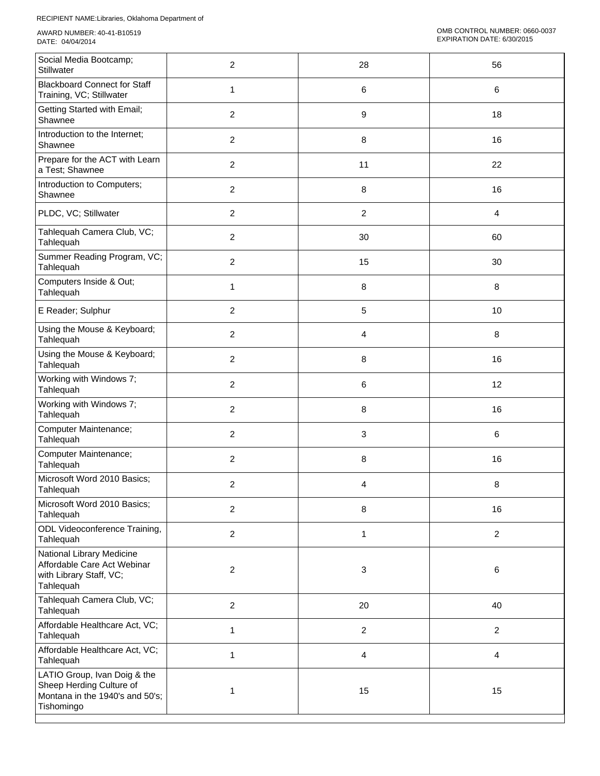| Social Media Bootcamp;<br>Stillwater                                                                      | $\overline{c}$ | 28                      | 56                      |
|-----------------------------------------------------------------------------------------------------------|----------------|-------------------------|-------------------------|
| <b>Blackboard Connect for Staff</b><br>Training, VC; Stillwater                                           | 1              | 6                       | 6                       |
| Getting Started with Email;<br>Shawnee                                                                    | $\overline{2}$ | 9                       | 18                      |
| Introduction to the Internet;<br>Shawnee                                                                  | $\overline{2}$ | 8                       | 16                      |
| Prepare for the ACT with Learn<br>a Test; Shawnee                                                         | $\overline{2}$ | 11                      | 22                      |
| Introduction to Computers;<br>Shawnee                                                                     | $\overline{2}$ | 8                       | 16                      |
| PLDC, VC; Stillwater                                                                                      | $\overline{2}$ | $\overline{c}$          | 4                       |
| Tahlequah Camera Club, VC;<br>Tahlequah                                                                   | $\overline{c}$ | 30                      | 60                      |
| Summer Reading Program, VC;<br>Tahlequah                                                                  | $\overline{c}$ | 15                      | 30                      |
| Computers Inside & Out;<br>Tahlequah                                                                      | 1              | 8                       | $\,8\,$                 |
| E Reader; Sulphur                                                                                         | $\overline{c}$ | 5                       | 10                      |
| Using the Mouse & Keyboard;<br>Tahlequah                                                                  | $\overline{2}$ | 4                       | $\,8\,$                 |
| Using the Mouse & Keyboard;<br>Tahlequah                                                                  | $\overline{2}$ | 8                       | 16                      |
| Working with Windows 7;<br>Tahlequah                                                                      | $\overline{2}$ | 6                       | 12                      |
| Working with Windows 7;<br>Tahlequah                                                                      | $\overline{2}$ | 8                       | 16                      |
| Computer Maintenance;<br>Tahlequah                                                                        | $\overline{2}$ | 3                       | 6                       |
| Computer Maintenance;<br>Tahlequah                                                                        | $\overline{c}$ | 8                       | 16                      |
| Microsoft Word 2010 Basics;<br>Tahlequah                                                                  | $\overline{c}$ | 4                       | 8                       |
| Microsoft Word 2010 Basics;<br>Tahlequah                                                                  | $\overline{2}$ | 8                       | 16                      |
| ODL Videoconference Training,<br>Tahlequah                                                                | $\overline{2}$ | $\mathbf{1}$            | $\overline{c}$          |
| National Library Medicine<br>Affordable Care Act Webinar<br>with Library Staff, VC;<br>Tahlequah          | $\overline{c}$ | $\mathbf{3}$            | $\,6\,$                 |
| Tahlequah Camera Club, VC;<br>Tahlequah                                                                   | $\overline{2}$ | 20                      | 40                      |
| Affordable Healthcare Act, VC;<br>Tahlequah                                                               | 1              | $\boldsymbol{2}$        | $\overline{2}$          |
| Affordable Healthcare Act, VC;<br>Tahlequah                                                               | $\mathbf{1}$   | $\overline{\mathbf{4}}$ | $\overline{\mathbf{4}}$ |
| LATIO Group, Ivan Doig & the<br>Sheep Herding Culture of<br>Montana in the 1940's and 50's;<br>Tishomingo | 1              | 15                      | 15                      |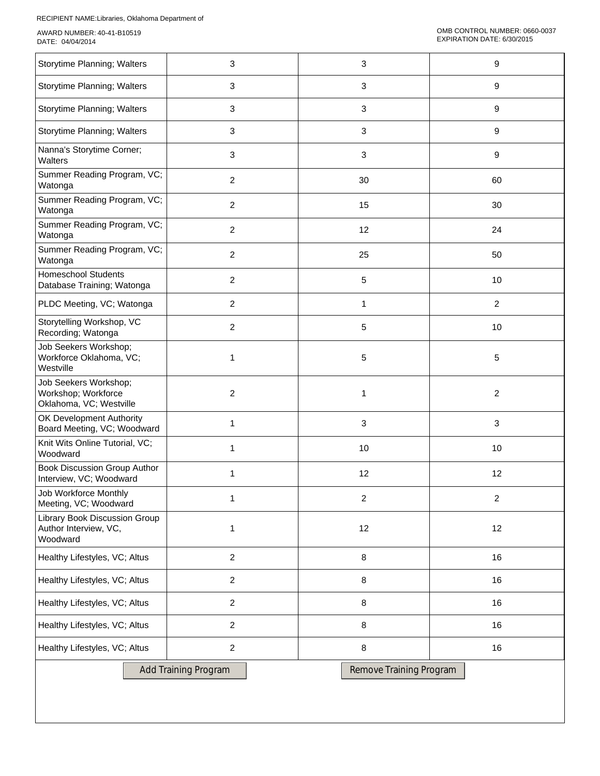| Storytime Planning; Walters                                               | 3                           | 3                       | 9                |  |  |
|---------------------------------------------------------------------------|-----------------------------|-------------------------|------------------|--|--|
| Storytime Planning; Walters                                               | 3                           | 3                       | $\boldsymbol{9}$ |  |  |
| Storytime Planning; Walters                                               | 3                           | 3                       | 9                |  |  |
| Storytime Planning; Walters                                               | 3                           | 3                       | 9                |  |  |
| Nanna's Storytime Corner;<br>Walters                                      | 3                           | 3                       | 9                |  |  |
| Summer Reading Program, VC;<br>Watonga                                    | $\overline{c}$              | 30                      | 60               |  |  |
| Summer Reading Program, VC;<br>Watonga                                    | $\overline{c}$              | 15                      | 30               |  |  |
| Summer Reading Program, VC;<br>Watonga                                    | $\overline{c}$              | 12                      | 24               |  |  |
| Summer Reading Program, VC;<br>Watonga                                    | $\overline{c}$              | 25                      | 50               |  |  |
| <b>Homeschool Students</b><br>Database Training; Watonga                  | 2                           | 5                       | 10               |  |  |
| PLDC Meeting, VC; Watonga                                                 | $\overline{c}$              | 1                       | $\overline{c}$   |  |  |
| Storytelling Workshop, VC<br>Recording; Watonga                           | $\overline{c}$              | 5                       | 10               |  |  |
| Job Seekers Workshop;<br>Workforce Oklahoma, VC;<br>Westville             | 1                           | 5                       | 5                |  |  |
| Job Seekers Workshop;<br>Workshop; Workforce<br>Oklahoma, VC; Westville   | $\overline{c}$              | 1                       | $\overline{c}$   |  |  |
| OK Development Authority<br>Board Meeting, VC; Woodward                   | 1                           | 3                       | $\mathbf{3}$     |  |  |
| Knit Wits Online Tutorial, VC;<br>Woodward                                | 1                           | 10                      | 10               |  |  |
| Book Discussion Group Author<br>Interview, VC; Woodward                   | 1                           | 12                      | 12               |  |  |
| Job Workforce Monthly<br>Meeting, VC; Woodward                            | 1                           | $\overline{c}$          | $\overline{c}$   |  |  |
| <b>Library Book Discussion Group</b><br>Author Interview, VC,<br>Woodward | 1                           | 12                      | 12               |  |  |
| Healthy Lifestyles, VC; Altus                                             | $\overline{c}$              | 8                       | 16               |  |  |
| Healthy Lifestyles, VC; Altus                                             | $\overline{2}$              | 8                       | 16               |  |  |
| Healthy Lifestyles, VC; Altus                                             | 2                           | 8                       | 16               |  |  |
| Healthy Lifestyles, VC; Altus                                             | $\overline{c}$              | 8                       | 16               |  |  |
| Healthy Lifestyles, VC; Altus                                             | $\overline{c}$              | 8                       | 16               |  |  |
|                                                                           | <b>Add Training Program</b> | Remove Training Program |                  |  |  |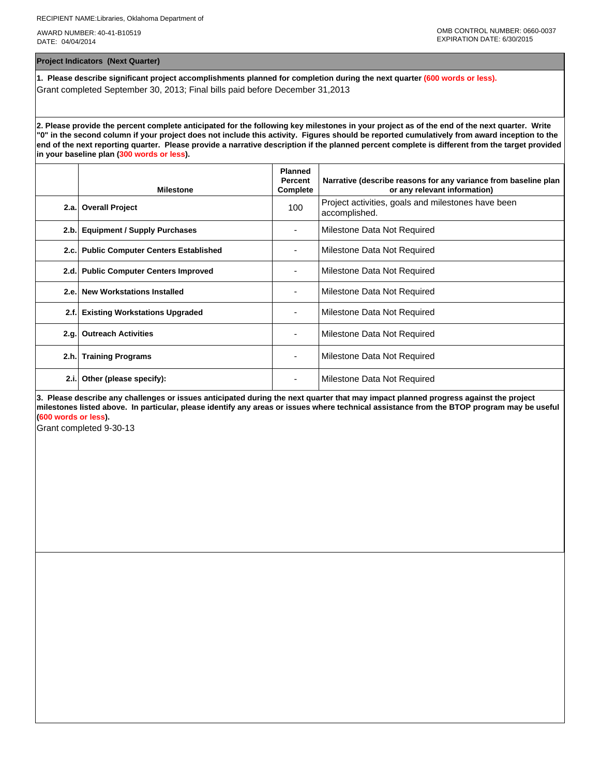**Project Indicators (Next Quarter)**

**1. Please describe significant project accomplishments planned for completion during the next quarter (600 words or less).** Grant completed September 30, 2013; Final bills paid before December 31,2013

**2. Please provide the percent complete anticipated for the following key milestones in your project as of the end of the next quarter. Write "0" in the second column if your project does not include this activity. Figures should be reported cumulatively from award inception to the end of the next reporting quarter. Please provide a narrative description if the planned percent complete is different from the target provided in your baseline plan (300 words or less).**

|      | <b>Milestone</b>                         | <b>Planned</b><br><b>Percent</b><br>Complete | Narrative (describe reasons for any variance from baseline plan<br>or any relevant information) |
|------|------------------------------------------|----------------------------------------------|-------------------------------------------------------------------------------------------------|
|      | 2.a. Overall Project                     | 100                                          | Project activities, goals and milestones have been<br>accomplished.                             |
|      | 2.b. Equipment / Supply Purchases        |                                              | Milestone Data Not Required                                                                     |
|      | 2.c. Public Computer Centers Established |                                              | Milestone Data Not Required                                                                     |
|      | 2.d. Public Computer Centers Improved    |                                              | Milestone Data Not Required                                                                     |
| 2.e. | <b>New Workstations Installed</b>        |                                              | Milestone Data Not Required                                                                     |
| 2.f. | <b>Existing Workstations Upgraded</b>    |                                              | Milestone Data Not Required                                                                     |
|      | 2.g. Outreach Activities                 |                                              | Milestone Data Not Required                                                                     |
| 2.h. | <b>Training Programs</b>                 | ۰                                            | Milestone Data Not Required                                                                     |
| 2.i. | Other (please specify):                  |                                              | Milestone Data Not Required                                                                     |

**3. Please describe any challenges or issues anticipated during the next quarter that may impact planned progress against the project milestones listed above. In particular, please identify any areas or issues where technical assistance from the BTOP program may be useful (600 words or less).**

Grant completed 9-30-13